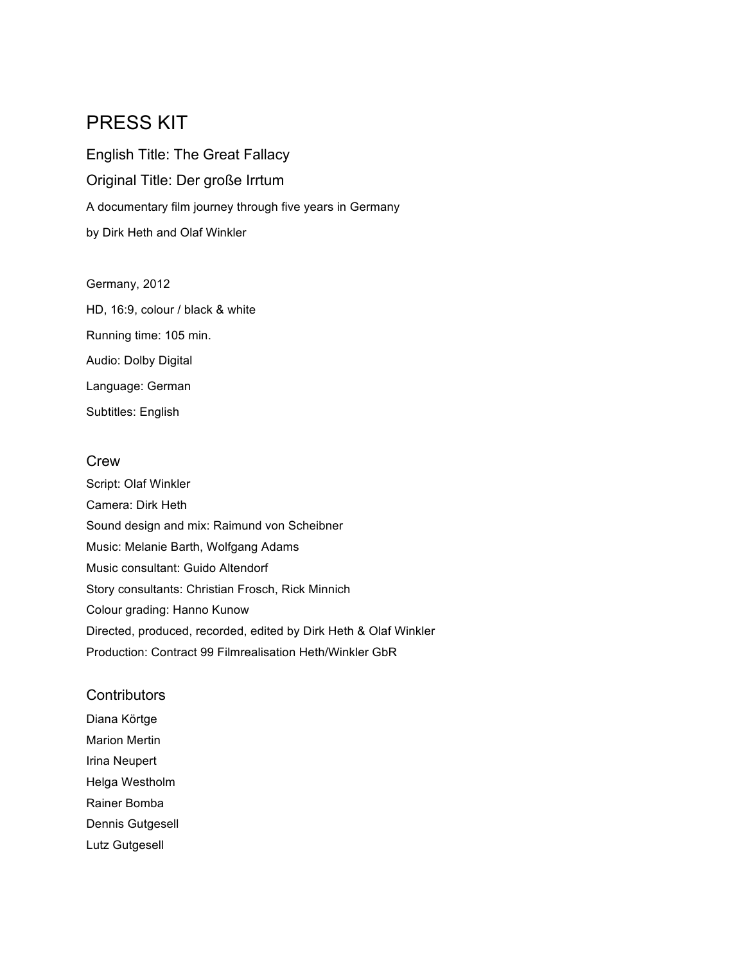# PRESS KIT

English Title: The Great Fallacy Original Title: Der große Irrtum A documentary film journey through five years in Germany by Dirk Heth and Olaf Winkler

Germany, 2012

HD, 16:9, colour / black & white Running time: 105 min. Audio: Dolby Digital

Language: German Subtitles: English

### **Crew**

Script: Olaf Winkler Camera: Dirk Heth Sound design and mix: Raimund von Scheibner Music: Melanie Barth, Wolfgang Adams Music consultant: Guido Altendorf Story consultants: Christian Frosch, Rick Minnich Colour grading: Hanno Kunow Directed, produced, recorded, edited by Dirk Heth & Olaf Winkler Production: Contract 99 Filmrealisation Heth/Winkler GbR

### **Contributors**

Diana Körtge Marion Mertin Irina Neupert Helga Westholm Rainer Bomba Dennis Gutgesell Lutz Gutgesell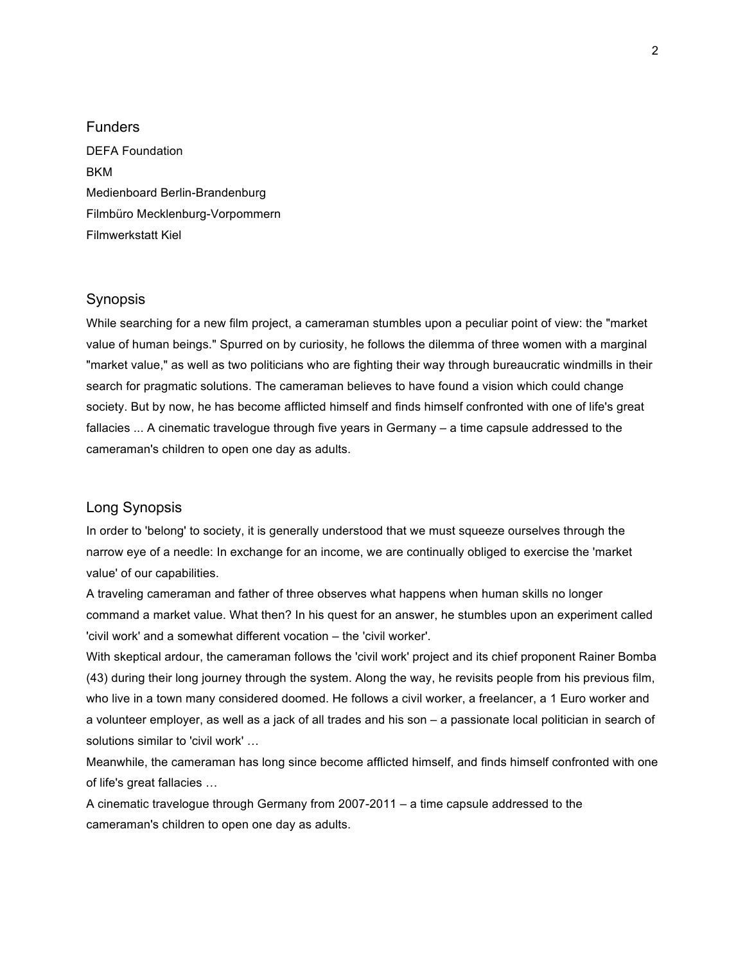Funders DEFA Foundation **RKM** Medienboard Berlin-Brandenburg Filmbüro Mecklenburg-Vorpommern Filmwerkstatt Kiel

#### Synopsis

While searching for a new film project, a cameraman stumbles upon a peculiar point of view: the "market value of human beings." Spurred on by curiosity, he follows the dilemma of three women with a marginal "market value," as well as two politicians who are fighting their way through bureaucratic windmills in their search for pragmatic solutions. The cameraman believes to have found a vision which could change society. But by now, he has become afflicted himself and finds himself confronted with one of life's great fallacies ... A cinematic travelogue through five years in Germany – a time capsule addressed to the cameraman's children to open one day as adults.

#### Long Synopsis

In order to 'belong' to society, it is generally understood that we must squeeze ourselves through the narrow eye of a needle: In exchange for an income, we are continually obliged to exercise the 'market value' of our capabilities.

A traveling cameraman and father of three observes what happens when human skills no longer command a market value. What then? In his quest for an answer, he stumbles upon an experiment called 'civil work' and a somewhat different vocation – the 'civil worker'.

With skeptical ardour, the cameraman follows the 'civil work' project and its chief proponent Rainer Bomba (43) during their long journey through the system. Along the way, he revisits people from his previous film, who live in a town many considered doomed. He follows a civil worker, a freelancer, a 1 Euro worker and a volunteer employer, as well as a jack of all trades and his son – a passionate local politician in search of solutions similar to 'civil work' …

Meanwhile, the cameraman has long since become afflicted himself, and finds himself confronted with one of life's great fallacies …

A cinematic travelogue through Germany from 2007-2011 – a time capsule addressed to the cameraman's children to open one day as adults.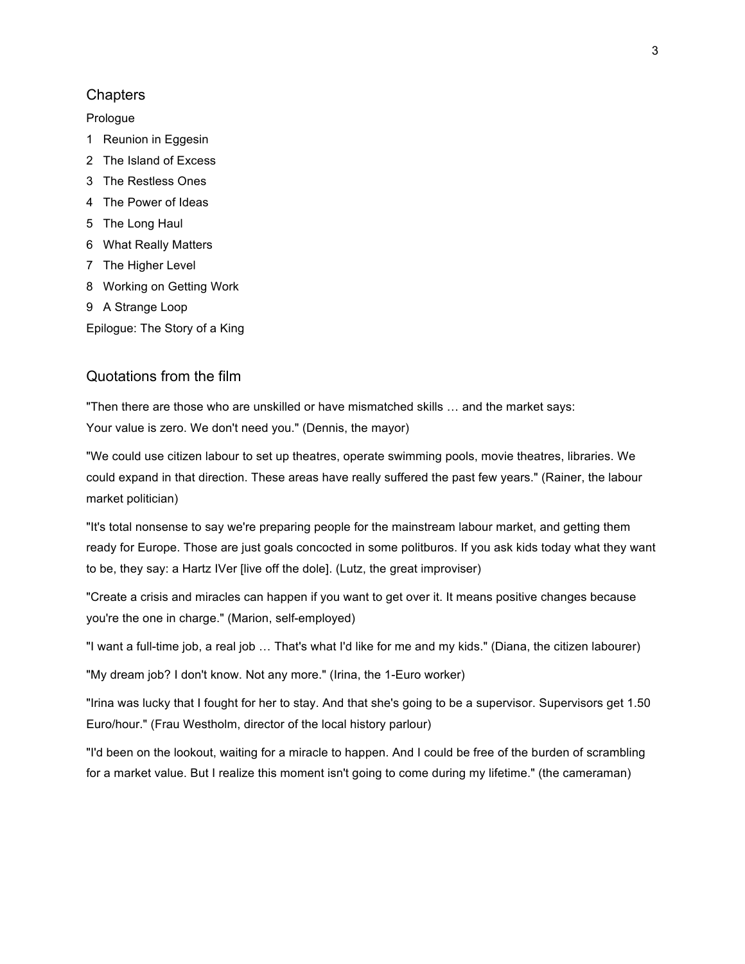#### **Chapters**

#### Prologue

- 1 Reunion in Eggesin
- 2 The Island of Excess
- 3 The Restless Ones
- 4 The Power of Ideas
- 5 The Long Haul
- 6 What Really Matters
- 7 The Higher Level
- 8 Working on Getting Work
- 9 A Strange Loop

Epilogue: The Story of a King

### Quotations from the film

"Then there are those who are unskilled or have mismatched skills … and the market says: Your value is zero. We don't need you." (Dennis, the mayor)

"We could use citizen labour to set up theatres, operate swimming pools, movie theatres, libraries. We could expand in that direction. These areas have really suffered the past few years." (Rainer, the labour market politician)

"It's total nonsense to say we're preparing people for the mainstream labour market, and getting them ready for Europe. Those are just goals concocted in some politburos. If you ask kids today what they want to be, they say: a Hartz IVer [live off the dole]. (Lutz, the great improviser)

"Create a crisis and miracles can happen if you want to get over it. It means positive changes because you're the one in charge." (Marion, self-employed)

"I want a full-time job, a real job … That's what I'd like for me and my kids." (Diana, the citizen labourer)

"My dream job? I don't know. Not any more." (Irina, the 1-Euro worker)

"Irina was lucky that I fought for her to stay. And that she's going to be a supervisor. Supervisors get 1.50 Euro/hour." (Frau Westholm, director of the local history parlour)

"I'd been on the lookout, waiting for a miracle to happen. And I could be free of the burden of scrambling for a market value. But I realize this moment isn't going to come during my lifetime." (the cameraman)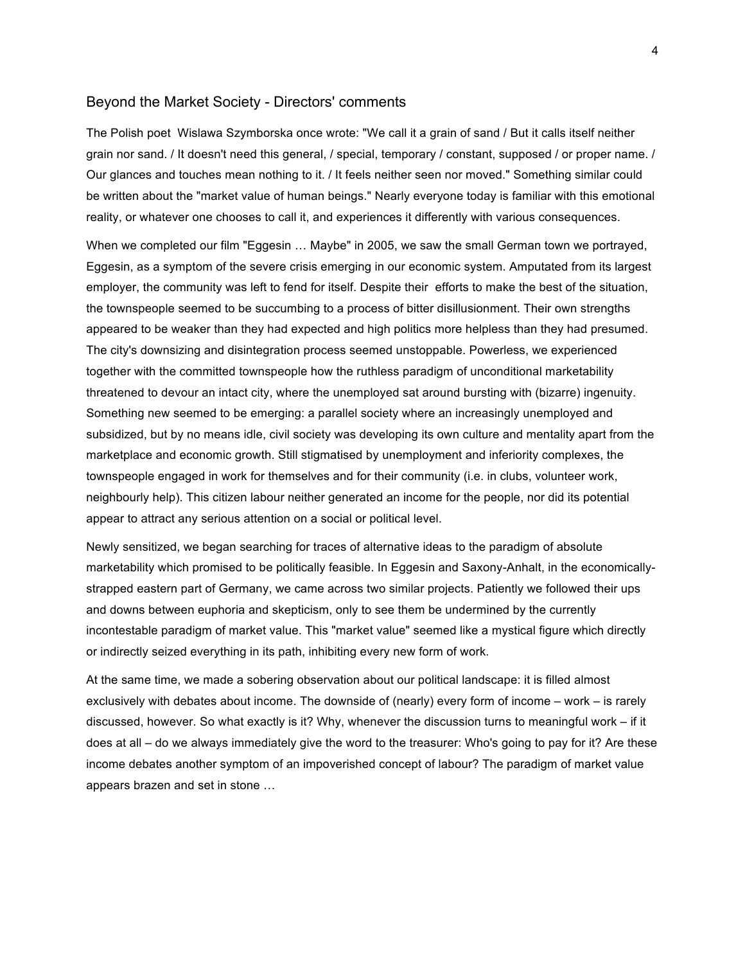#### Beyond the Market Society - Directors' comments

The Polish poet Wislawa Szymborska once wrote: "We call it a grain of sand / But it calls itself neither grain nor sand. / It doesn't need this general, / special, temporary / constant, supposed / or proper name. / Our glances and touches mean nothing to it. / It feels neither seen nor moved." Something similar could be written about the "market value of human beings." Nearly everyone today is familiar with this emotional reality, or whatever one chooses to call it, and experiences it differently with various consequences.

When we completed our film "Eggesin … Maybe" in 2005, we saw the small German town we portrayed, Eggesin, as a symptom of the severe crisis emerging in our economic system. Amputated from its largest employer, the community was left to fend for itself. Despite their efforts to make the best of the situation, the townspeople seemed to be succumbing to a process of bitter disillusionment. Their own strengths appeared to be weaker than they had expected and high politics more helpless than they had presumed. The city's downsizing and disintegration process seemed unstoppable. Powerless, we experienced together with the committed townspeople how the ruthless paradigm of unconditional marketability threatened to devour an intact city, where the unemployed sat around bursting with (bizarre) ingenuity. Something new seemed to be emerging: a parallel society where an increasingly unemployed and subsidized, but by no means idle, civil society was developing its own culture and mentality apart from the marketplace and economic growth. Still stigmatised by unemployment and inferiority complexes, the townspeople engaged in work for themselves and for their community (i.e. in clubs, volunteer work, neighbourly help). This citizen labour neither generated an income for the people, nor did its potential appear to attract any serious attention on a social or political level.

Newly sensitized, we began searching for traces of alternative ideas to the paradigm of absolute marketability which promised to be politically feasible. In Eggesin and Saxony-Anhalt, in the economicallystrapped eastern part of Germany, we came across two similar projects. Patiently we followed their ups and downs between euphoria and skepticism, only to see them be undermined by the currently incontestable paradigm of market value. This "market value" seemed like a mystical figure which directly or indirectly seized everything in its path, inhibiting every new form of work.

At the same time, we made a sobering observation about our political landscape: it is filled almost exclusively with debates about income. The downside of (nearly) every form of income – work – is rarely discussed, however. So what exactly is it? Why, whenever the discussion turns to meaningful work – if it does at all – do we always immediately give the word to the treasurer: Who's going to pay for it? Are these income debates another symptom of an impoverished concept of labour? The paradigm of market value appears brazen and set in stone …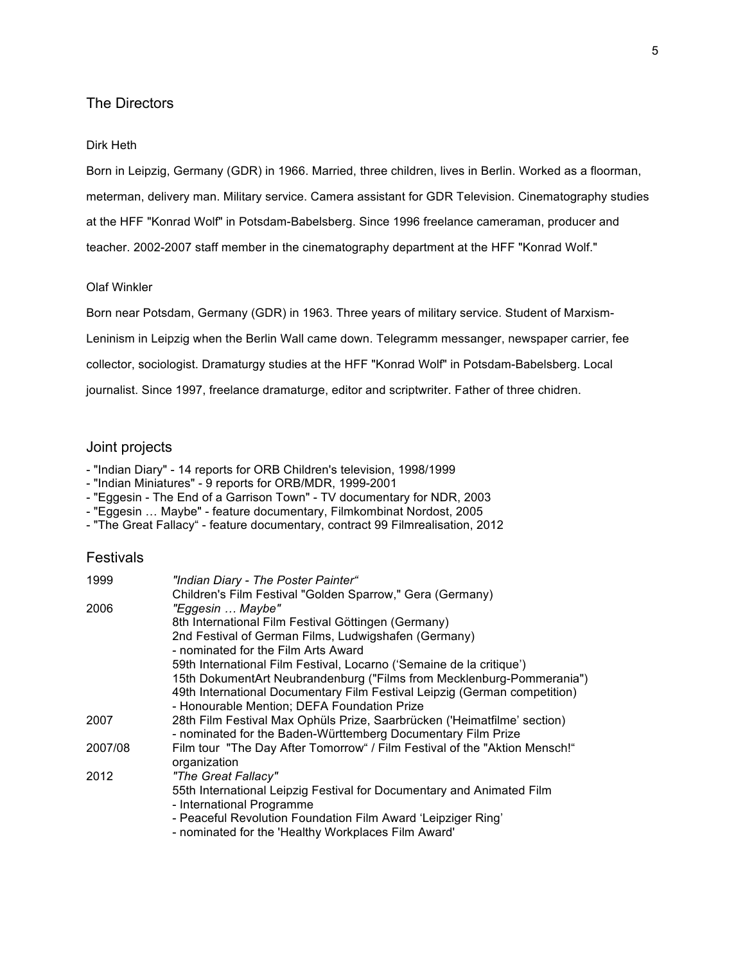### The Directors

#### Dirk Heth

Born in Leipzig, Germany (GDR) in 1966. Married, three children, lives in Berlin. Worked as a floorman, meterman, delivery man. Military service. Camera assistant for GDR Television. Cinematography studies at the HFF "Konrad Wolf" in Potsdam-Babelsberg. Since 1996 freelance cameraman, producer and teacher. 2002-2007 staff member in the cinematography department at the HFF "Konrad Wolf."

#### Olaf Winkler

Born near Potsdam, Germany (GDR) in 1963. Three years of military service. Student of Marxism-Leninism in Leipzig when the Berlin Wall came down. Telegramm messanger, newspaper carrier, fee collector, sociologist. Dramaturgy studies at the HFF "Konrad Wolf" in Potsdam-Babelsberg. Local journalist. Since 1997, freelance dramaturge, editor and scriptwriter. Father of three chidren.

#### Joint projects

- "Indian Diary" 14 reports for ORB Children's television, 1998/1999
- "Indian Miniatures" 9 reports for ORB/MDR, 1999-2001
- "Eggesin The End of a Garrison Town" TV documentary for NDR, 2003
- "Eggesin … Maybe" feature documentary, Filmkombinat Nordost, 2005
- "The Great Fallacy" feature documentary, contract 99 Filmrealisation, 2012

#### **Festivals**

|                                                                                                                                       | 15th DokumentArt Neubrandenburg ("Films from Mecklenburg-Pommerania")<br>49th International Documentary Film Festival Leipzig (German competition) |
|---------------------------------------------------------------------------------------------------------------------------------------|----------------------------------------------------------------------------------------------------------------------------------------------------|
|                                                                                                                                       |                                                                                                                                                    |
| 28th Film Festival Max Ophüls Prize, Saarbrücken ('Heimatfilme' section)                                                              |                                                                                                                                                    |
|                                                                                                                                       |                                                                                                                                                    |
| Film tour "The Day After Tomorrow" / Film Festival of the "Aktion Mensch!"                                                            |                                                                                                                                                    |
| 55th International Leipzig Festival for Documentary and Animated Film<br>- Peaceful Revolution Foundation Film Award 'Leipziger Ring' |                                                                                                                                                    |
|                                                                                                                                       |                                                                                                                                                    |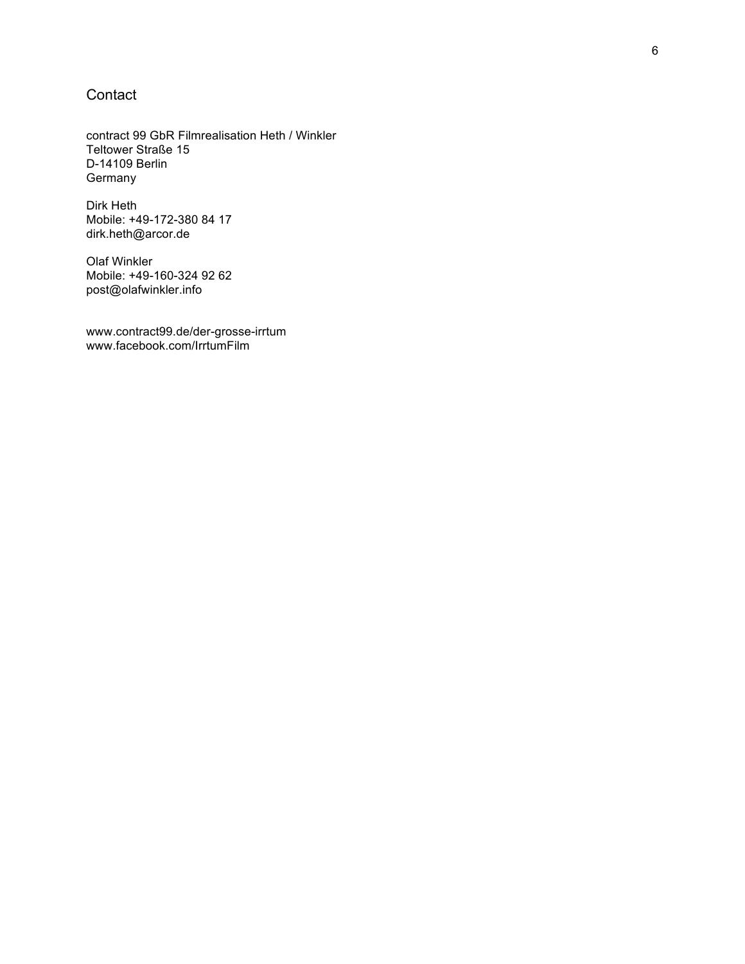### **Contact**

contract 99 GbR Filmrealisation Heth / Winkler Teltower Straße 15 D-14109 Berlin Germany

Dirk Heth Mobile: +49-172-380 84 17 dirk.heth@arcor.de

Olaf Winkler Mobile: +49-160-324 92 62 post@olafwinkler.info

www.contract99.de/der-grosse-irrtum www.facebook.com/IrrtumFilm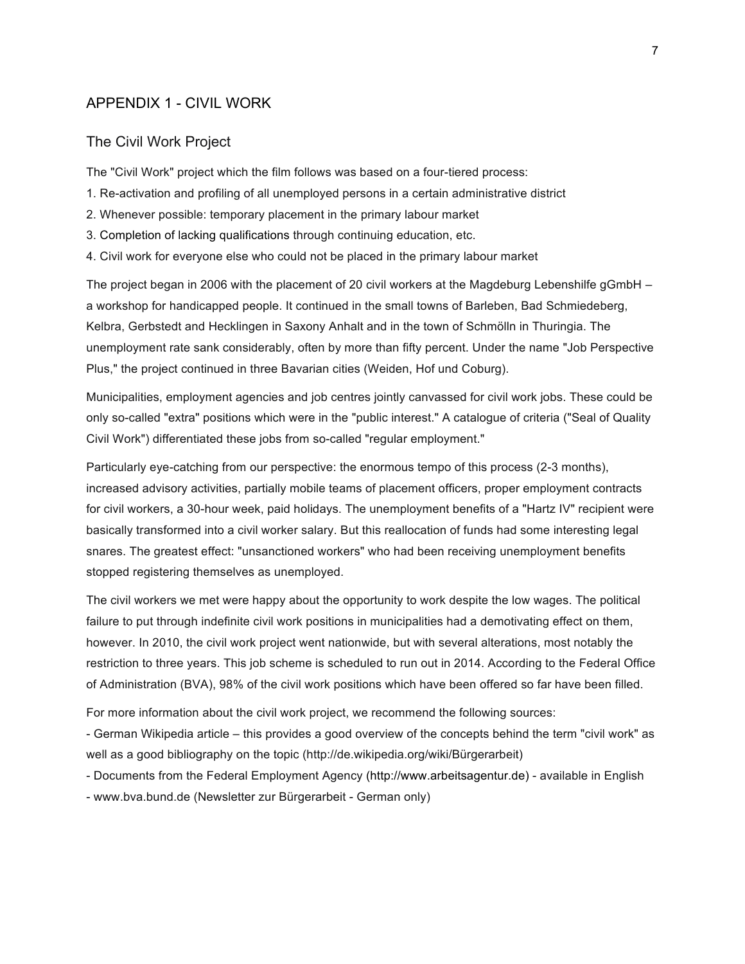### APPENDIX 1 - CIVIL WORK

### The Civil Work Project

The "Civil Work" project which the film follows was based on a four-tiered process:

- 1. Re-activation and profiling of all unemployed persons in a certain administrative district
- 2. Whenever possible: temporary placement in the primary labour market
- 3. Completion of lacking qualifications through continuing education, etc.
- 4. Civil work for everyone else who could not be placed in the primary labour market

The project began in 2006 with the placement of 20 civil workers at the Magdeburg Lebenshilfe gGmbH – a workshop for handicapped people. It continued in the small towns of Barleben, Bad Schmiedeberg, Kelbra, Gerbstedt and Hecklingen in Saxony Anhalt and in the town of Schmölln in Thuringia. The unemployment rate sank considerably, often by more than fifty percent. Under the name "Job Perspective Plus," the project continued in three Bavarian cities (Weiden, Hof und Coburg).

Municipalities, employment agencies and job centres jointly canvassed for civil work jobs. These could be only so-called "extra" positions which were in the "public interest." A catalogue of criteria ("Seal of Quality Civil Work") differentiated these jobs from so-called "regular employment."

Particularly eye-catching from our perspective: the enormous tempo of this process (2-3 months), increased advisory activities, partially mobile teams of placement officers, proper employment contracts for civil workers, a 30-hour week, paid holidays. The unemployment benefits of a "Hartz IV" recipient were basically transformed into a civil worker salary. But this reallocation of funds had some interesting legal snares. The greatest effect: "unsanctioned workers" who had been receiving unemployment benefits stopped registering themselves as unemployed.

The civil workers we met were happy about the opportunity to work despite the low wages. The political failure to put through indefinite civil work positions in municipalities had a demotivating effect on them, however. In 2010, the civil work project went nationwide, but with several alterations, most notably the restriction to three years. This job scheme is scheduled to run out in 2014. According to the Federal Office of Administration (BVA), 98% of the civil work positions which have been offered so far have been filled.

For more information about the civil work project, we recommend the following sources:

- German Wikipedia article – this provides a good overview of the concepts behind the term "civil work" as well as a good bibliography on the topic (http://de.wikipedia.org/wiki/Bürgerarbeit)

- Documents from the Federal Employment Agency (http://www.arbeitsagentur.de) - available in English

- www.bva.bund.de (Newsletter zur Bürgerarbeit - German only)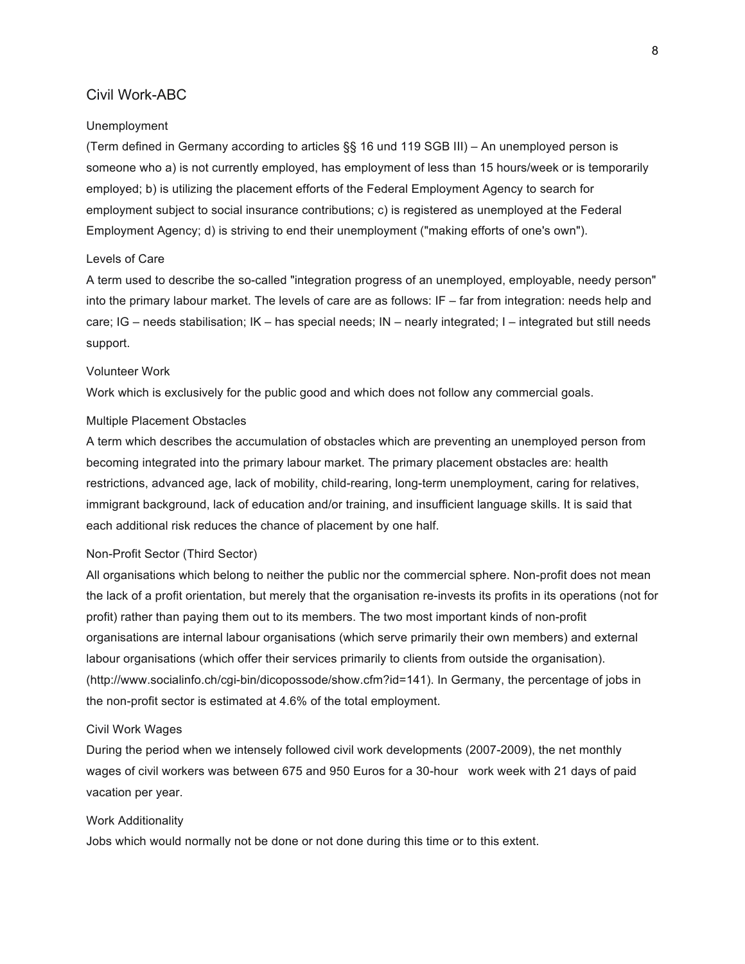### Civil Work-ABC

#### Unemployment

(Term defined in Germany according to articles §§ 16 und 119 SGB III) – An unemployed person is someone who a) is not currently employed, has employment of less than 15 hours/week or is temporarily employed; b) is utilizing the placement efforts of the Federal Employment Agency to search for employment subject to social insurance contributions; c) is registered as unemployed at the Federal Employment Agency; d) is striving to end their unemployment ("making efforts of one's own").

#### Levels of Care

A term used to describe the so-called "integration progress of an unemployed, employable, needy person" into the primary labour market. The levels of care are as follows: IF – far from integration: needs help and care; IG – needs stabilisation; IK – has special needs; IN – nearly integrated; I – integrated but still needs support.

### Volunteer Work

Work which is exclusively for the public good and which does not follow any commercial goals.

#### Multiple Placement Obstacles

A term which describes the accumulation of obstacles which are preventing an unemployed person from becoming integrated into the primary labour market. The primary placement obstacles are: health restrictions, advanced age, lack of mobility, child-rearing, long-term unemployment, caring for relatives, immigrant background, lack of education and/or training, and insufficient language skills. It is said that each additional risk reduces the chance of placement by one half.

#### Non-Profit Sector (Third Sector)

All organisations which belong to neither the public nor the commercial sphere. Non-profit does not mean the lack of a profit orientation, but merely that the organisation re-invests its profits in its operations (not for profit) rather than paying them out to its members. The two most important kinds of non-profit organisations are internal labour organisations (which serve primarily their own members) and external labour organisations (which offer their services primarily to clients from outside the organisation). (http://www.socialinfo.ch/cgi-bin/dicopossode/show.cfm?id=141). In Germany, the percentage of jobs in the non-profit sector is estimated at 4.6% of the total employment.

#### Civil Work Wages

During the period when we intensely followed civil work developments (2007-2009), the net monthly wages of civil workers was between 675 and 950 Euros for a 30-hour work week with 21 days of paid vacation per year.

#### Work Additionality

Jobs which would normally not be done or not done during this time or to this extent.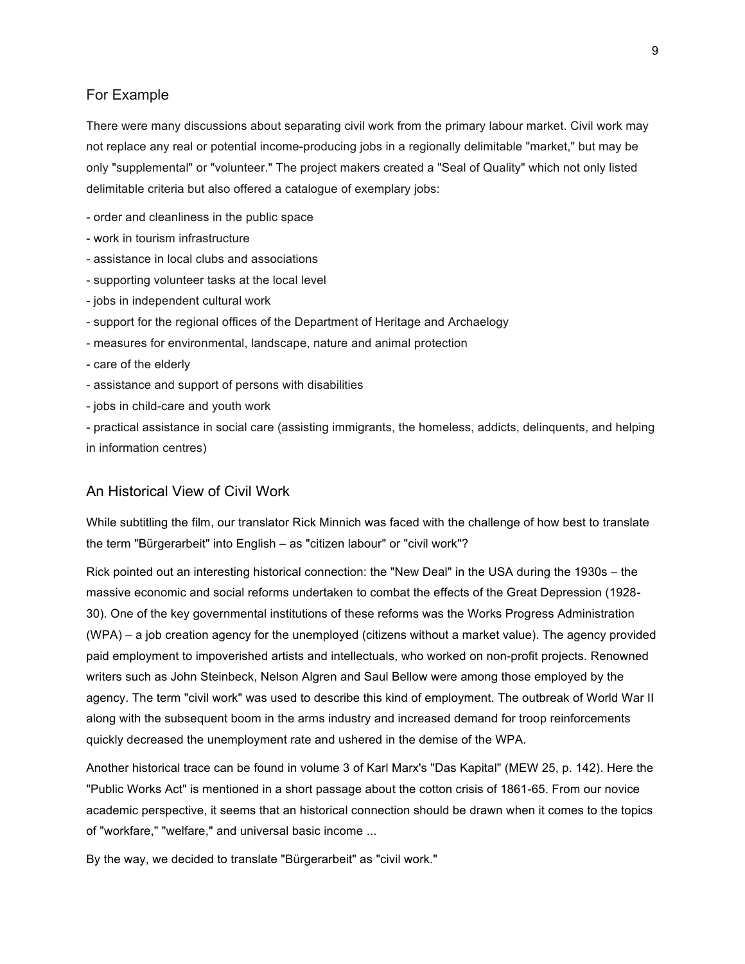### For Example

There were many discussions about separating civil work from the primary labour market. Civil work may not replace any real or potential income-producing jobs in a regionally delimitable "market," but may be only "supplemental" or "volunteer." The project makers created a "Seal of Quality" which not only listed delimitable criteria but also offered a catalogue of exemplary jobs:

- order and cleanliness in the public space
- work in tourism infrastructure
- assistance in local clubs and associations
- supporting volunteer tasks at the local level
- jobs in independent cultural work
- support for the regional offices of the Department of Heritage and Archaelogy
- measures for environmental, landscape, nature and animal protection
- care of the elderly
- assistance and support of persons with disabilities
- jobs in child-care and youth work

- practical assistance in social care (assisting immigrants, the homeless, addicts, delinquents, and helping in information centres)

### An Historical View of Civil Work

While subtitling the film, our translator Rick Minnich was faced with the challenge of how best to translate the term "Bürgerarbeit" into English – as "citizen labour" or "civil work"?

Rick pointed out an interesting historical connection: the "New Deal" in the USA during the 1930s – the massive economic and social reforms undertaken to combat the effects of the Great Depression (1928- 30). One of the key governmental institutions of these reforms was the Works Progress Administration (WPA) – a job creation agency for the unemployed (citizens without a market value). The agency provided paid employment to impoverished artists and intellectuals, who worked on non-profit projects. Renowned writers such as John Steinbeck, Nelson Algren and Saul Bellow were among those employed by the agency. The term "civil work" was used to describe this kind of employment. The outbreak of World War II along with the subsequent boom in the arms industry and increased demand for troop reinforcements quickly decreased the unemployment rate and ushered in the demise of the WPA.

Another historical trace can be found in volume 3 of Karl Marx's "Das Kapital" (MEW 25, p. 142). Here the "Public Works Act" is mentioned in a short passage about the cotton crisis of 1861-65. From our novice academic perspective, it seems that an historical connection should be drawn when it comes to the topics of "workfare," "welfare," and universal basic income ...

By the way, we decided to translate "Bürgerarbeit" as "civil work."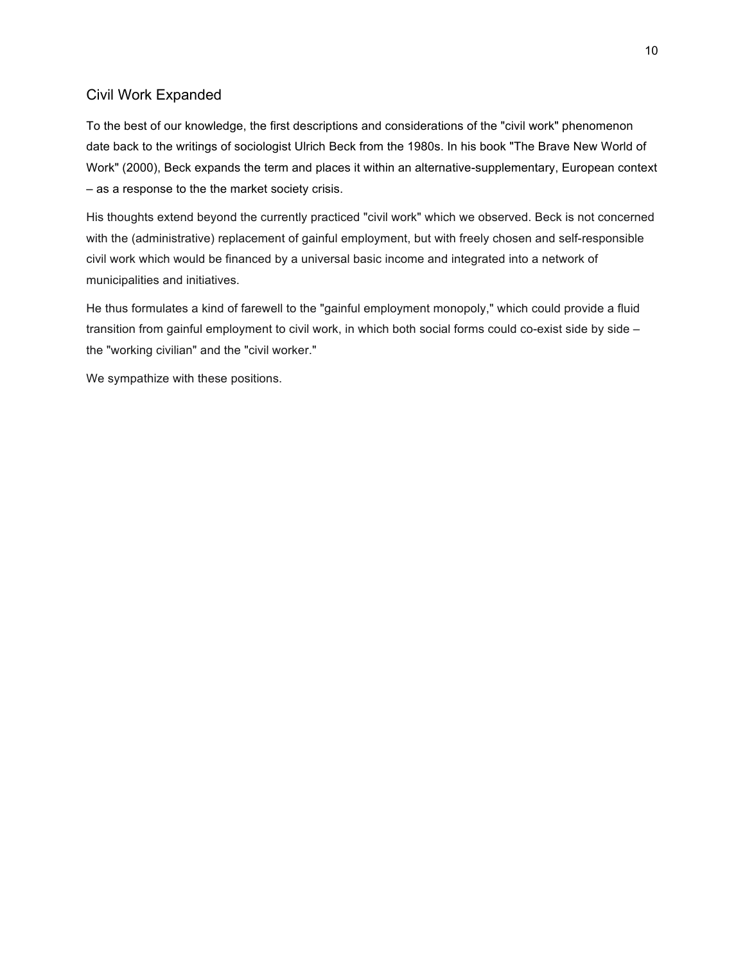### Civil Work Expanded

To the best of our knowledge, the first descriptions and considerations of the "civil work" phenomenon date back to the writings of sociologist Ulrich Beck from the 1980s. In his book "The Brave New World of Work" (2000), Beck expands the term and places it within an alternative-supplementary, European context – as a response to the the market society crisis.

His thoughts extend beyond the currently practiced "civil work" which we observed. Beck is not concerned with the (administrative) replacement of gainful employment, but with freely chosen and self-responsible civil work which would be financed by a universal basic income and integrated into a network of municipalities and initiatives.

He thus formulates a kind of farewell to the "gainful employment monopoly," which could provide a fluid transition from gainful employment to civil work, in which both social forms could co-exist side by side – the "working civilian" and the "civil worker."

We sympathize with these positions.